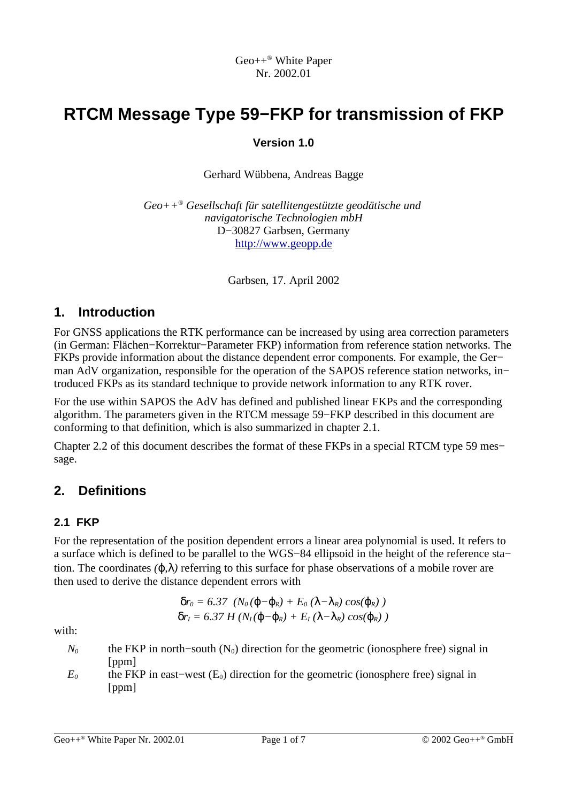# **RTCM Message Type 59−FKP for transmission of FKP**

### **Version 1.0**

Gerhard Wübbena, Andreas Bagge

*Geo++ ® Gesellschaft für satellitengestützte geodätische und navigatorische Technologien mbH* D−30827 Garbsen, Germany http://www.geopp.de

Garbsen, 17. April 2002

# **1. Introduction**

For GNSS applications the RTK performance can be increased by using area correction parameters (in German: Flächen−Korrektur−Parameter FKP) information from reference station networks. The FKPs provide information about the distance dependent error components. For example, the Ger− man AdV organization, responsible for the operation of the SAPOS reference station networks, in− troduced FKPs as its standard technique to provide network information to any RTK rover.

For the use within SAPOS the AdV has defined and published linear FKPs and the corresponding algorithm. The parameters given in the RTCM message 59−FKP described in this document are conforming to that definition, which is also summarized in chapter 2.1.

Chapter 2.2 of this document describes the format of these FKPs in a special RTCM type 59 mes− sage.

# **2. Definitions**

### **2.1 FKP**

For the representation of the position dependent errors a linear area polynomial is used. It refers to a surface which is defined to be parallel to the WGS−84 ellipsoid in the height of the reference sta− tion. The coordinates  $(\varphi, \lambda)$  referring to this surface for phase observations of a mobile rover are then used to derive the distance dependent errors with

$$
\delta r_0 = 6.37 \left( N_0 (\varphi - \varphi_R) + E_0 (\lambda - \lambda_R) \cos(\varphi_R) \right)
$$
  

$$
\delta r_1 = 6.37 H (N_1 (\varphi - \varphi_R) + E_1 (\lambda - \lambda_R) \cos(\varphi_R) )
$$

with:

- *N*<sup>0</sup> the FKP in north–south (N<sub>0</sub>) direction for the geometric (ionosphere free) signal in [ppm]
- $E_0$  the FKP in east–west (E<sub>0</sub>) direction for the geometric (ionosphere free) signal in [ppm]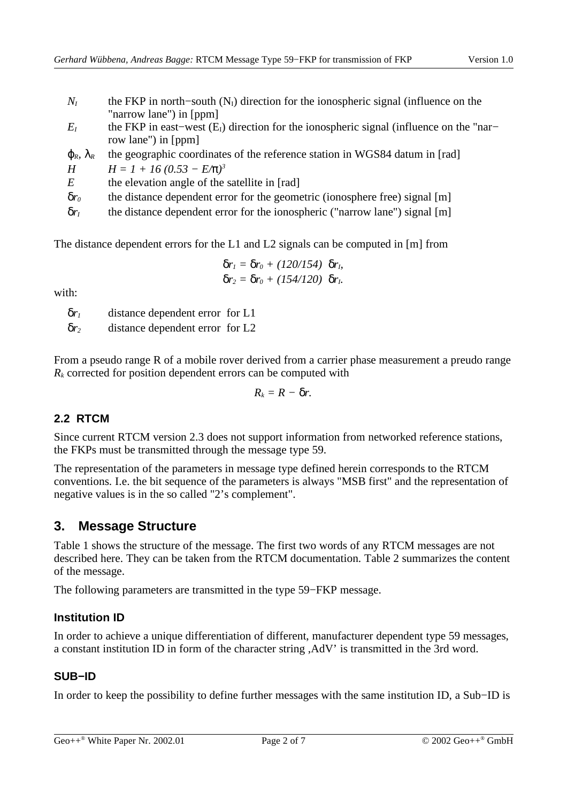- $N_I$  the FKP in north–south ( $N_I$ ) direction for the ionospheric signal (influence on the "narrow lane") in [ppm]
- $E_I$  the FKP in east–west (E<sub>I</sub>) direction for the ionospheric signal (influence on the "nar– row lane") in [ppm]
- $\phi_R$ ,  $\lambda_R$  the geographic coordinates of the reference station in WGS84 datum in [rad]

*H*  $H = 1 + 16 (0.53 - E/\pi)^3$ 

*E* the elevation angle of the satellite in [rad]

δ*r<sup>0</sup>* the distance dependent error for the geometric (ionosphere free) signal [m]

δ*r<sup>I</sup>* the distance dependent error for the ionospheric ("narrow lane") signal [m]

The distance dependent errors for the L1 and L2 signals can be computed in [m] from

$$
\delta r_1 = \delta r_0 + (120/154) \delta r_1,
$$
  

$$
\delta r_2 = \delta r_0 + (154/120) \delta r_1.
$$

with:

δ*r<sup>1</sup>* distance dependent error for L1 δ*r<sup>2</sup>* distance dependent error for L2

From a pseudo range R of a mobile rover derived from a carrier phase measurement a preudo range  $R_k$  corrected for position dependent errors can be computed with

$$
R_k=R-\delta r.
$$

#### **2.2 RTCM**

Since current RTCM version 2.3 does not support information from networked reference stations, the FKPs must be transmitted through the message type 59.

The representation of the parameters in message type defined herein corresponds to the RTCM conventions. I.e. the bit sequence of the parameters is always "MSB first" and the representation of negative values is in the so called "2's complement".

# **3. Message Structure**

Table 1 shows the structure of the message. The first two words of any RTCM messages are not described here. They can be taken from the RTCM documentation. Table 2 summarizes the content of the message.

The following parameters are transmitted in the type 59−FKP message.

#### **Institution ID**

In order to achieve a unique differentiation of different, manufacturer dependent type 59 messages, a constant institution ID in form of the character string ,AdV' is transmitted in the 3rd word.

#### **SUB−ID**

In order to keep the possibility to define further messages with the same institution ID, a Sub−ID is

Geo+ $+^{\circ}$  White Paper Nr. 2002.01 Page 2 of 7  $\circ$  2002 Geo++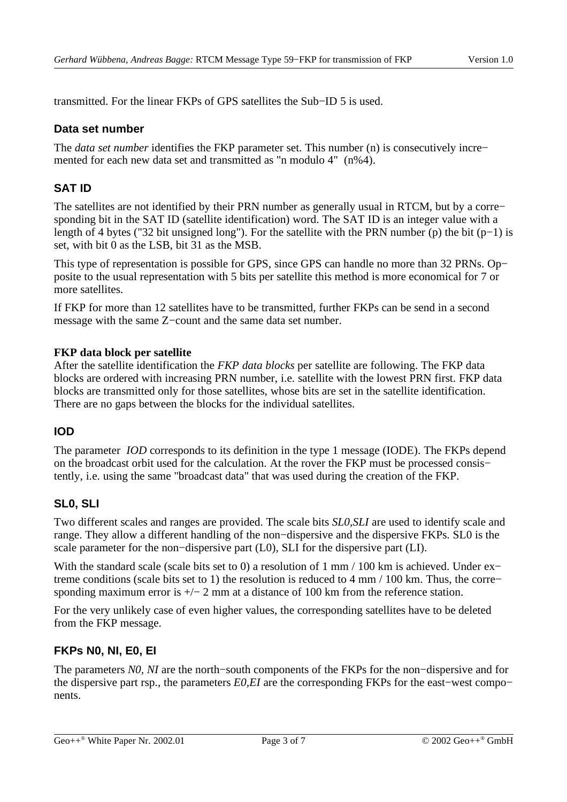transmitted. For the linear FKPs of GPS satellites the Sub−ID 5 is used.

#### **Data set number**

The *data set number* identifies the FKP parameter set. This number (n) is consecutively incre− mented for each new data set and transmitted as "n modulo 4" (n%4).

### **SAT ID**

The satellites are not identified by their PRN number as generally usual in RTCM, but by a corre− sponding bit in the SAT ID (satellite identification) word. The SAT ID is an integer value with a length of 4 bytes ("32 bit unsigned long"). For the satellite with the PRN number (p) the bit (p−1) is set, with bit 0 as the LSB, bit 31 as the MSB.

This type of representation is possible for GPS, since GPS can handle no more than 32 PRNs. Op− posite to the usual representation with 5 bits per satellite this method is more economical for 7 or more satellites

If FKP for more than 12 satellites have to be transmitted, further FKPs can be send in a second message with the same Z−count and the same data set number.

#### **FKP data block per satellite**

After the satellite identification the *FKP data blocks* per satellite are following. The FKP data blocks are ordered with increasing PRN number, i.e. satellite with the lowest PRN first. FKP data blocks are transmitted only for those satellites, whose bits are set in the satellite identification. There are no gaps between the blocks for the individual satellites.

#### **IOD**

The parameter *IOD* corresponds to its definition in the type 1 message (IODE). The FKPs depend on the broadcast orbit used for the calculation. At the rover the FKP must be processed consis− tently, i.e. using the same "broadcast data" that was used during the creation of the FKP.

#### **SL0, SLI**

Two different scales and ranges are provided. The scale bits *SL0,SLI* are used to identify scale and range. They allow a different handling of the non−dispersive and the dispersive FKPs. SL0 is the scale parameter for the non–dispersive part (L0), SLI for the dispersive part (LI).

With the standard scale (scale bits set to 0) a resolution of 1 mm / 100 km is achieved. Under ex− treme conditions (scale bits set to 1) the resolution is reduced to 4 mm / 100 km. Thus, the corre− sponding maximum error is  $+/- 2$  mm at a distance of 100 km from the reference station.

For the very unlikely case of even higher values, the corresponding satellites have to be deleted from the FKP message.

#### **FKPs N0, NI, E0, EI**

The parameters *N0, NI* are the north–south components of the FKPs for the non–dispersive and for the dispersive part rsp., the parameters *E0,EI* are the corresponding FKPs for the east–west compo– nents.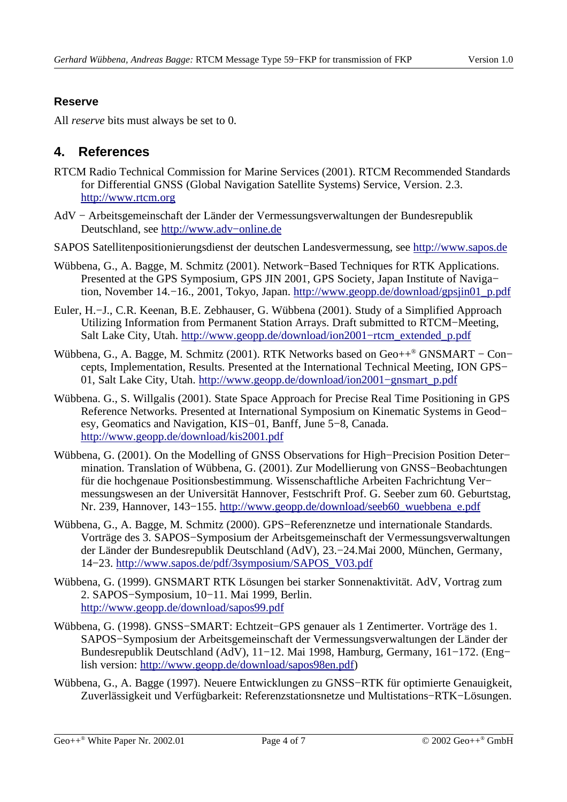### **Reserve**

All *reserve* bits must always be set to 0.

# **4. References**

- RTCM Radio Technical Commission for Marine Services (2001). RTCM Recommended Standards for Differential GNSS (Global Navigation Satellite Systems) Service, Version. 2.3. http://www.rtcm.org
- AdV − Arbeitsgemeinschaft der Länder der Vermessungsverwaltungen der Bundesrepublik Deutschland, see http://www.adv−online.de
- SAPOS Satellitenpositionierungsdienst der deutschen Landesvermessung, see http://www.sapos.de
- Wübbena, G., A. Bagge, M. Schmitz (2001). Network−Based Techniques for RTK Applications. Presented at the GPS Symposium, GPS JIN 2001, GPS Society, Japan Institute of Naviga– tion, November 14.−16., 2001, Tokyo, Japan. http://www.geopp.de/download/gpsjin01\_p.pdf
- Euler, H.−J., C.R. Keenan, B.E. Zebhauser, G. Wübbena (2001). Study of a Simplified Approach Utilizing Information from Permanent Station Arrays. Draft submitted to RTCM−Meeting, Salt Lake City, Utah. http://www.geopp.de/download/ion2001−rtcm\_extended\_p.pdf
- Wübbena, G., A. Bagge, M. Schmitz (2001). RTK Networks based on Geo++® GNSMART Con– cepts, Implementation, Results. Presented at the International Technical Meeting, ION GPS− 01, Salt Lake City, Utah. http://www.geopp.de/download/ion2001−gnsmart\_p.pdf
- Wübbena. G., S. Willgalis (2001). State Space Approach for Precise Real Time Positioning in GPS Reference Networks. Presented at International Symposium on Kinematic Systems in Geod− esy, Geomatics and Navigation, KIS−01, Banff, June 5−8, Canada. http://www.geopp.de/download/kis2001.pdf
- Wübbena, G. (2001). On the Modelling of GNSS Observations for High−Precision Position Deter− mination. Translation of Wübbena, G. (2001). Zur Modellierung von GNSS−Beobachtungen für die hochgenaue Positionsbestimmung. Wissenschaftliche Arbeiten Fachrichtung Ver− messungswesen an der Universität Hannover, Festschrift Prof. G. Seeber zum 60. Geburtstag, Nr. 239, Hannover, 143−155. http://www.geopp.de/download/seeb60\_wuebbena\_e.pdf
- Wübbena, G., A. Bagge, M. Schmitz (2000). GPS−Referenznetze und internationale Standards. Vorträge des 3. SAPOS−Symposium der Arbeitsgemeinschaft der Vermessungsverwaltungen der Länder der Bundesrepublik Deutschland (AdV), 23.−24.Mai 2000, München, Germany, 14−23. http://www.sapos.de/pdf/3symposium/SAPOS\_V03.pdf
- Wübbena, G. (1999). GNSMART RTK Lösungen bei starker Sonnenaktivität. AdV, Vortrag zum 2. SAPOS−Symposium, 10−11. Mai 1999, Berlin. http://www.geopp.de/download/sapos99.pdf
- Wübbena, G. (1998). GNSS−SMART: Echtzeit−GPS genauer als 1 Zentimerter. Vorträge des 1. SAPOS−Symposium der Arbeitsgemeinschaft der Vermessungsverwaltungen der Länder der Bundesrepublik Deutschland (AdV), 11−12. Mai 1998, Hamburg, Germany, 161−172. (Eng− lish version: http://www.geopp.de/download/sapos98en.pdf)
- Wübbena, G., A. Bagge (1997). Neuere Entwicklungen zu GNSS−RTK für optimierte Genauigkeit, Zuverlässigkeit und Verfügbarkeit: Referenzstationsnetze und Multistations−RTK−Lösungen.

Geo+ $+^{\circ}$  White Paper Nr. 2002.01 Page 4 of 7  $\circ$  2002 Geo++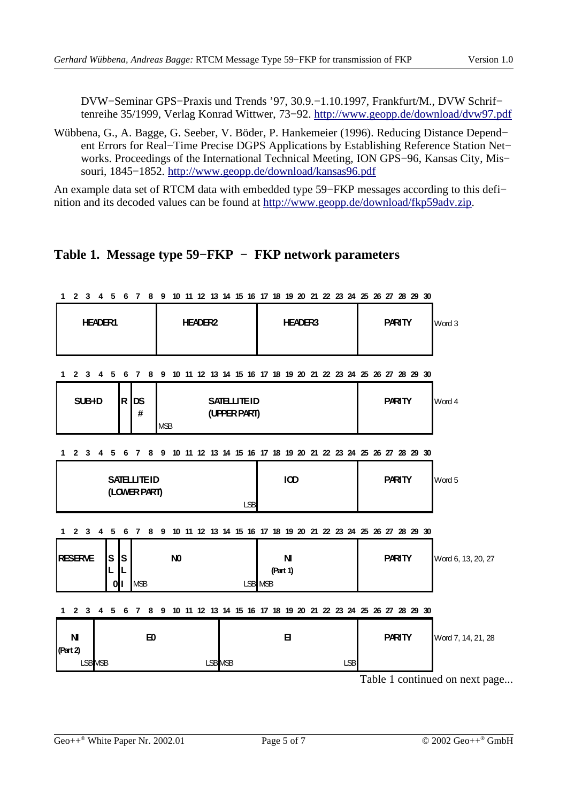DVW−Seminar GPS−Praxis und Trends '97, 30.9.−1.10.1997, Frankfurt/M., DVW Schrif− tenreihe 35/1999, Verlag Konrad Wittwer, 73−92. http://www.geopp.de/download/dvw97.pdf

Wübbena, G., A. Bagge, G. Seeber, V. Böder, P. Hankemeier (1996). Reducing Distance Depend− ent Errors for Real−Time Precise DGPS Applications by Establishing Reference Station Net− works. Proceedings of the International Technical Meeting, ION GPS−96, Kansas City, Mis− souri, 1845−1852. http://www.geopp.de/download/kansas96.pdf

An example data set of RTCM data with embedded type 59−FKP messages according to this defi− nition and its decoded values can be found at http://www.geopp.de/download/fkp59adv.zip.

## **Table 1. Message type 59−FKP − FKP network parameters**

| 2 3 4 5 6 7 5 6 7 6 9 10 11 12 13 14 15 10 11 10 12 20 21 22 23 <del>24</del> 25 26 27 30           |               |                    |  |  |  |  |
|-----------------------------------------------------------------------------------------------------|---------------|--------------------|--|--|--|--|
| <b>HEADER1</b><br><b>HEADER2</b><br><b>HEADER3</b>                                                  | <b>PARITY</b> | Word 3             |  |  |  |  |
| 10 11 12 13 14 15 16 17 18 19 20 21 22 23 24 25 26 27 28 29 30<br>2 3 4 5<br>6<br>8<br>9<br>1.<br>7 |               |                    |  |  |  |  |
| R DS<br><b>SUBHD</b><br><b>SATELLITEID</b><br>(UPPER PART)<br>#<br><b>MSB</b>                       | <b>PARITY</b> | Word 4             |  |  |  |  |
| 8 9 10 11 12 13 14 15 16 17 18 19 20 21 22 23 24 25 26 27 28 29 30<br>2 3<br>5<br>1<br>4<br>6<br>7  |               |                    |  |  |  |  |
| IOD<br><b>SATELLITEID</b><br>(LOWER PART)<br>LSB                                                    | <b>PARITY</b> | Word 5             |  |  |  |  |
| 8 9 10 11 12 13 14 15 16 17 18 19 20 21 22 23 24 25 26 27 28 29 30<br>1 2 3 4<br>5<br>6<br><b>7</b> |               |                    |  |  |  |  |
| <b>RESERVE</b><br>N <sub>0</sub><br>N<br>S<br>ls<br>(Part 1)<br><b>MSB</b><br>LSB MSB<br>0<br>Ш     | <b>PARITY</b> | Word 6, 13, 20, 27 |  |  |  |  |
| 8 9 10 11 12 13 14 15 16 17 18 19 20 21 22 23 24 25 26 27 28 29 30<br>1 2 3 4 5 6 7                 |               |                    |  |  |  |  |
| <b>N</b><br>Ю<br>Β<br>(Part 2)                                                                      | <b>PARITY</b> | Word 7, 14, 21, 28 |  |  |  |  |
| LSB MSB<br>LSB <sub>MSB</sub><br>LSB                                                                |               |                    |  |  |  |  |

8 0 10 11 12 13 14 15 16 17 18 10 20 21 22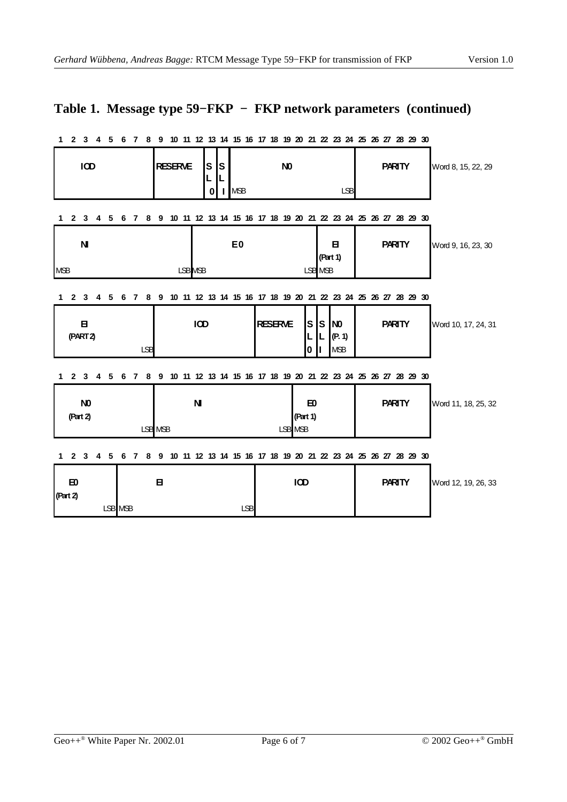# **Table 1. Message type 59−FKP − FKP network parameters (continued)**

|                                                                                                                           |                  |                                           | 13 20 21 22 23 24 25 26 27                                             |               |                     |  |
|---------------------------------------------------------------------------------------------------------------------------|------------------|-------------------------------------------|------------------------------------------------------------------------|---------------|---------------------|--|
| <b>IOD</b>                                                                                                                | <b>RESERVE</b>   | ${\bf S}$<br>ls<br>L<br>0<br><b>I</b> MSB | N <sub>0</sub><br><b>LSB</b>                                           | <b>PARITY</b> | Word 8, 15, 22, 29  |  |
| 2 <sub>3</sub><br>- 5<br>4<br>1                                                                                           | 6<br>8<br>-7     |                                           | 9 10 11 12 13 14 15 16 17 18 19 20 21 22 23 24 25 26 27 28 29 30       |               |                     |  |
| $\mathbf N$<br><b>MSB</b>                                                                                                 |                  | E <sub>0</sub><br>LSB MSB                 | в<br>(Part 1)<br>LSB MSB                                               | <b>PARITY</b> | Word 9, 16, 23, 30  |  |
| $\mathbf{2}$<br>3<br>1<br>4<br>5                                                                                          | 8<br>9<br>6<br>7 |                                           | 10 11 12 13 14 15 16 17 18 19 20 21 22 23 24 25 26 27 28 29 30         |               |                     |  |
| Β<br>(PART2)                                                                                                              | <b>LSB</b>       | IOD                                       | <b>RESERVE</b><br>S<br>S NO<br>IL.<br>IL<br>(P. 1)<br><b>MSB</b><br>l0 | <b>PARITY</b> | Word 10, 17, 24, 31 |  |
| 2 <sub>3</sub><br>1<br>4<br>-5                                                                                            | 8<br>9<br>6<br>7 |                                           | 10 11 12 13 14 15 16 17 18 19 20 21 22 23 24 25 26 27 28 29 30         |               |                     |  |
| N <sub>0</sub><br>(Part 2)                                                                                                | LSB MSB          | $\mathbf N$                               | E0<br>(Part 1)<br>LSB MSB                                              | <b>PARITY</b> | Word 11, 18, 25, 32 |  |
| 11 12 13 14 15 16 17 18 19 20 21 22 23 24 25 26 27 28 29 30<br>$\mathbf{2}$<br>3<br>5<br>8<br>9<br>10<br>1<br>4<br>6<br>7 |                  |                                           |                                                                        |               |                     |  |
| E <sub>0</sub><br>(Part 2)                                                                                                | Β<br>LSB MSB     | <b>LSB</b>                                | IOD                                                                    | <b>PARITY</b> | Word 12, 19, 26, 33 |  |

#### 1 2 3 4 5 6 7 8 9 10 11 12 13 14 15 16 17 18 19 20 21 22 23 24 25 26 27 28 29 30